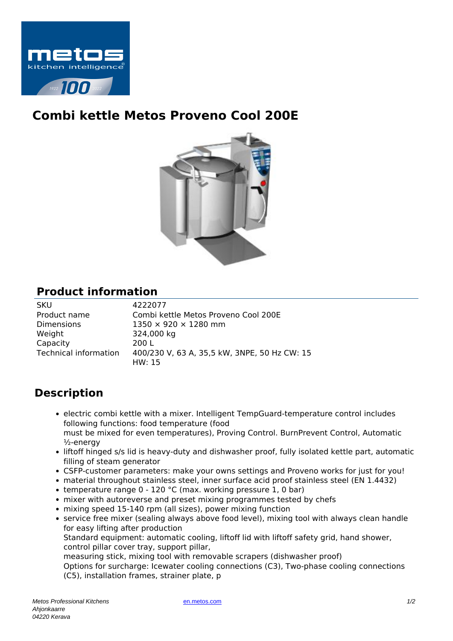

## **Combi kettle Metos Proveno Cool 200E**



## **Product information**

| <b>SKU</b>                   | 4222077                                      |
|------------------------------|----------------------------------------------|
| Product name                 | Combi kettle Metos Proveno Cool 200E         |
| <b>Dimensions</b>            | $1350 \times 920 \times 1280$ mm             |
| Weight                       | 324,000 kg                                   |
| Capacity                     | 200 L                                        |
| <b>Technical information</b> | 400/230 V, 63 A, 35,5 kW, 3NPE, 50 Hz CW: 15 |
|                              | HW: 15                                       |

## **Description**

- electric combi kettle with a mixer. Intelligent TempGuard-temperature control includes following functions: food temperature (food must be mixed for even temperatures), Proving Control. BurnPrevent Control, Automatic ½-energy
- liftoff hinged s/s lid is heavy-duty and dishwasher proof, fully isolated kettle part, automatic filling of steam generator
- CSFP-customer parameters: make your owns settings and Proveno works for just for you!
- material throughout stainless steel, inner surface acid proof stainless steel (EN 1.4432)
- temperature range  $0 120$  °C (max. working pressure 1, 0 bar)
- mixer with autoreverse and preset mixing programmes tested by chefs
- mixing speed 15-140 rpm (all sizes), power mixing function
- service free mixer (sealing always above food level), mixing tool with always clean handle for easy lifting after production

Standard equipment: automatic cooling, liftoff lid with liftoff safety grid, hand shower, control pillar cover tray, support pillar,

measuring stick, mixing tool with removable scrapers (dishwasher proof)

Options for surcharge: Icewater cooling connections (C3), Two-phase cooling connections (C5), installation frames, strainer plate, p